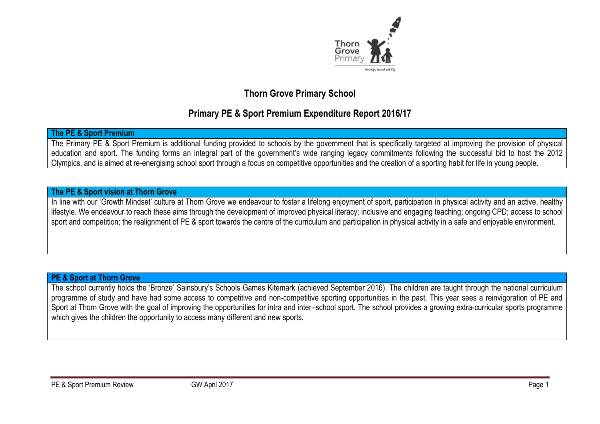

# **Thorn Grove Primary School**

# **Primary PE & Sport Premium Expenditure Report 2016/17**

#### **The PE & Sport Premium**

The Primary PE & Sport Premium is additional funding provided to schools by the government that is specifically targeted at improving the provision of physical education and sport. The funding forms an integral part of the government's wide ranging legacy commitments following the successful bid to host the 2012 Olympics, and is aimed at re-energising school sport through a focus on competitive opportunities and the creation of a sporting habit for life in young people.

#### **The PE & Sport vision at Thorn Grove**

In line with our 'Growth Mindset' culture at Thorn Grove we endeavour to foster a lifelong enjoyment of sport, participation in physical activity and an active, healthy lifestyle. We endeavour to reach these aims through the development of improved physical literacy; inclusive and engaging teaching; ongoing CPD; access to school sport and competition; the realignment of PE & sport towards the centre of the curriculum and participation in physical activity in a safe and enjoyable environment.

### **PE & Sport at Thorn Grove**

The school currently holds the 'Bronze' Sainsbury's Schools Games Kitemark (achieved September 2016). The children are taught through the national curriculum programme of study and have had some access to competitive and non-competitive sporting opportunities in the past. This year sees a reinvigoration of PE and Sport at Thorn Grove with the goal of improving the opportunities for intra and inter–school sport. The school provides a growing extra-curricular sports programme which gives the children the opportunity to access many different and new sports.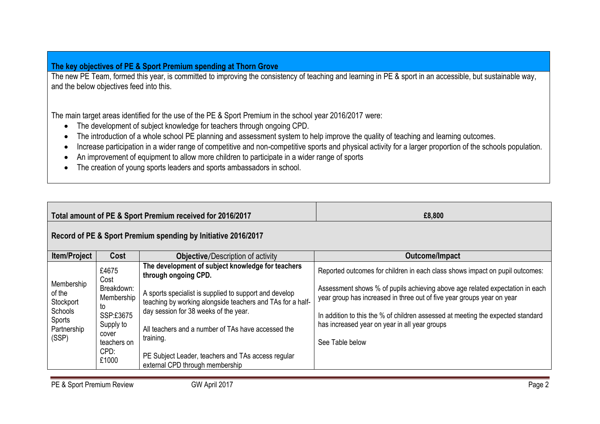### **The key objectives of PE & Sport Premium spending at Thorn Grove**

The new PE Team, formed this year, is committed to improving the consistency of teaching and learning in PE & sport in an accessible, but sustainable way, and the below objectives feed into this.

The main target areas identified for the use of the PE & Sport Premium in the school year 2016/2017 were:

- The development of subject knowledge for teachers through ongoing CPD.
- The introduction of a whole school PE planning and assessment system to help improve the quality of teaching and learning outcomes.
- Increase participation in a wider range of competitive and non-competitive sports and physical activity for a larger proportion of the schools population.
- An improvement of equipment to allow more children to participate in a wider range of sports
- The creation of young sports leaders and sports ambassadors in school.

|                                                                                |                                                                                                   | Total amount of PE & Sport Premium received for 2016/2017                                                                                                                                                                        | £8,800                                                                                                                                                 |  |  |  |  |
|--------------------------------------------------------------------------------|---------------------------------------------------------------------------------------------------|----------------------------------------------------------------------------------------------------------------------------------------------------------------------------------------------------------------------------------|--------------------------------------------------------------------------------------------------------------------------------------------------------|--|--|--|--|
|                                                                                |                                                                                                   | Record of PE & Sport Premium spending by Initiative 2016/2017                                                                                                                                                                    |                                                                                                                                                        |  |  |  |  |
| <b>Item/Project</b>                                                            | Cost                                                                                              | <b>Objective/Description of activity</b>                                                                                                                                                                                         | Outcome/Impact                                                                                                                                         |  |  |  |  |
|                                                                                | £4675<br>Cost                                                                                     | The development of subject knowledge for teachers<br>through ongoing CPD.                                                                                                                                                        | Reported outcomes for children in each class shows impact on pupil outcomes:                                                                           |  |  |  |  |
| Membership<br>of the<br>Stockport<br>Schools<br>Sports<br>Partnership<br>(SSP) | Breakdown:<br>Membership<br>to<br>SSP:£3675<br>Supply to<br>cover<br>teachers on<br>CPD:<br>£1000 | A sports specialist is supplied to support and develop<br>teaching by working alongside teachers and TAs for a half-<br>day session for 38 weeks of the year.<br>All teachers and a number of TAs have accessed the<br>training. | Assessment shows % of pupils achieving above age related expectation in each<br>year group has increased in three out of five year groups year on year |  |  |  |  |
|                                                                                |                                                                                                   |                                                                                                                                                                                                                                  | In addition to this the % of children assessed at meeting the expected standard<br>has increased year on year in all year groups<br>See Table below    |  |  |  |  |
|                                                                                |                                                                                                   | PE Subject Leader, teachers and TAs access regular<br>external CPD through membership                                                                                                                                            |                                                                                                                                                        |  |  |  |  |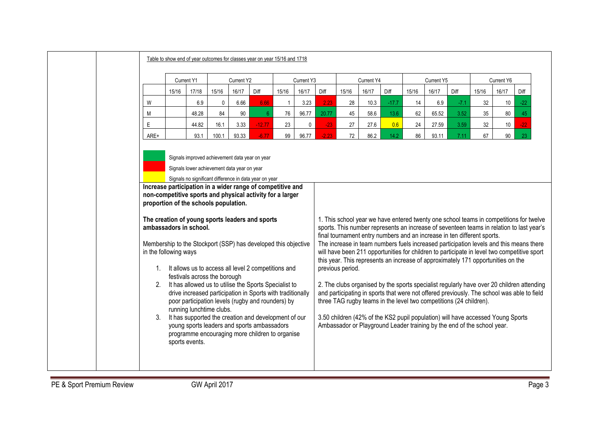|      | Table to show end of year outcomes for classes year on year 15/16 and 1718                                                                                                                                                                                                                                                                                                                                                                                                                                                                                                                                                                                                                                                                                                                                                                                                                                                            |       |             |       |             |              |             |                  |       |            |         |       |                                                                    |                                                                                                                                                                                                                                                                                                                                                                                                                                                                                                                                                                                                                                                                                                                                                                                                                                                                                                     |       |       |       |
|------|---------------------------------------------------------------------------------------------------------------------------------------------------------------------------------------------------------------------------------------------------------------------------------------------------------------------------------------------------------------------------------------------------------------------------------------------------------------------------------------------------------------------------------------------------------------------------------------------------------------------------------------------------------------------------------------------------------------------------------------------------------------------------------------------------------------------------------------------------------------------------------------------------------------------------------------|-------|-------------|-------|-------------|--------------|-------------|------------------|-------|------------|---------|-------|--------------------------------------------------------------------|-----------------------------------------------------------------------------------------------------------------------------------------------------------------------------------------------------------------------------------------------------------------------------------------------------------------------------------------------------------------------------------------------------------------------------------------------------------------------------------------------------------------------------------------------------------------------------------------------------------------------------------------------------------------------------------------------------------------------------------------------------------------------------------------------------------------------------------------------------------------------------------------------------|-------|-------|-------|
|      | Current Y1                                                                                                                                                                                                                                                                                                                                                                                                                                                                                                                                                                                                                                                                                                                                                                                                                                                                                                                            |       | Current Y2  |       | Current Y3  |              | Current Y4  |                  |       | Current Y5 |         |       | Current Y6                                                         |                                                                                                                                                                                                                                                                                                                                                                                                                                                                                                                                                                                                                                                                                                                                                                                                                                                                                                     |       |       |       |
|      | 15/16                                                                                                                                                                                                                                                                                                                                                                                                                                                                                                                                                                                                                                                                                                                                                                                                                                                                                                                                 | 17/18 | 15/16       | 16/17 | Diff        | 15/16        | 16/17       | Diff             | 15/16 | 16/17      | Diff    | 15/16 | 16/17                                                              | Diff                                                                                                                                                                                                                                                                                                                                                                                                                                                                                                                                                                                                                                                                                                                                                                                                                                                                                                | 15/16 | 16/17 | Diff  |
| W    |                                                                                                                                                                                                                                                                                                                                                                                                                                                                                                                                                                                                                                                                                                                                                                                                                                                                                                                                       | 6.9   | $\mathbf 0$ | 6.66  | 6.66        | $\mathbf{1}$ | 3.23        | 2.23             | 28    | 10.3       | $-17.7$ | 14    | 6.9                                                                | $-7.1$                                                                                                                                                                                                                                                                                                                                                                                                                                                                                                                                                                                                                                                                                                                                                                                                                                                                                              | 32    | 10    | $-22$ |
| M    |                                                                                                                                                                                                                                                                                                                                                                                                                                                                                                                                                                                                                                                                                                                                                                                                                                                                                                                                       | 48.28 | 84          | 90    | $6^{\circ}$ | 76           | 96.77       | 20.77            | 45    | 58.6       | 13.6    | 62    | 65.52                                                              | 3.52                                                                                                                                                                                                                                                                                                                                                                                                                                                                                                                                                                                                                                                                                                                                                                                                                                                                                                | 35    | 80    | 45    |
| E    |                                                                                                                                                                                                                                                                                                                                                                                                                                                                                                                                                                                                                                                                                                                                                                                                                                                                                                                                       | 44.82 | 16.1        | 3.33  | $-12.77$    | 23           | $\mathbf 0$ | $-23$            | 27    | 27.6       | 0.6     | 24    | 27.59                                                              | 3.59                                                                                                                                                                                                                                                                                                                                                                                                                                                                                                                                                                                                                                                                                                                                                                                                                                                                                                | 32    | 10    | $-22$ |
| ARE+ |                                                                                                                                                                                                                                                                                                                                                                                                                                                                                                                                                                                                                                                                                                                                                                                                                                                                                                                                       | 93.1  | 100.1       | 93.33 | $-6.77$     | 99           | 96.77       | $-2.23$          | 72    | 86.2       | 14.2    | 86    | 93.11                                                              | 7.11                                                                                                                                                                                                                                                                                                                                                                                                                                                                                                                                                                                                                                                                                                                                                                                                                                                                                                | 67    | 90    | 23    |
|      | Signals lower achievement data year on year<br>Signals no significant difference in data year on year<br>Increase participation in a wider range of competitive and<br>non-competitive sports and physical activity for a larger<br>proportion of the schools population.<br>The creation of young sports leaders and sports<br>ambassadors in school.<br>Membership to the Stockport (SSP) has developed this objective<br>in the following ways<br>1. It allows us to access all level 2 competitions and<br>festivals across the borough<br>2. It has allowed us to utilise the Sports Specialist to<br>drive increased participation in Sports with traditionally<br>poor participation levels (rugby and rounders) by<br>running lunchtime clubs.<br>3. It has supported the creation and development of our<br>young sports leaders and sports ambassadors<br>programme encouraging more children to organise<br>sports events. |       |             |       |             |              |             | previous period. |       |            |         |       | three TAG rugby teams in the level two competitions (24 children). | 1. This school year we have entered twenty one school teams in competitions for twelve<br>sports. This number represents an increase of seventeen teams in relation to last year's<br>final tournament entry numbers and an increase in ten different sports.<br>The increase in team numbers fuels increased participation levels and this means there<br>will have been 211 opportunities for children to participate in level two competitive sport<br>this year. This represents an increase of approximately 171 opportunities on the<br>2. The clubs organised by the sports specialist regularly have over 20 children attending<br>and participating in sports that were not offered previously. The school was able to field<br>3.50 children (42% of the KS2 pupil population) will have accessed Young Sports<br>Ambassador or Playground Leader training by the end of the school year. |       |       |       |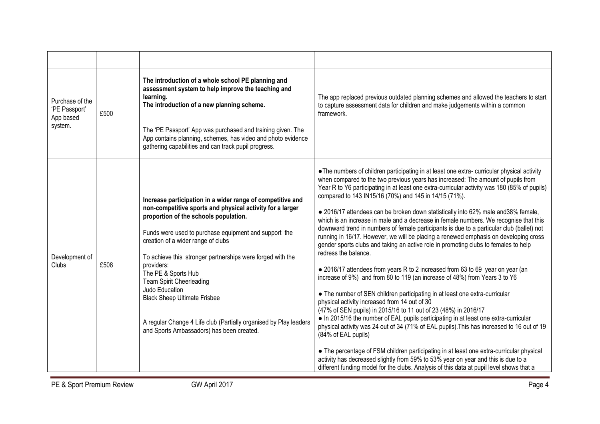| Purchase of the<br>'PE Passport'<br>App based<br>system. | £500 | The introduction of a whole school PE planning and<br>assessment system to help improve the teaching and<br>learning.<br>The introduction of a new planning scheme.<br>The 'PE Passport' App was purchased and training given. The<br>App contains planning, schemes, has video and photo evidence<br>gathering capabilities and can track pupil progress.                                                                                                                                                                                                                       | The app replaced previous outdated planning schemes and allowed the teachers to start<br>to capture assessment data for children and make judgements within a common<br>framework.                                                                                                                                                                                                                                                                                                                                                                                                                                                                                                                                                                                                                                                                                                                                                                                                                                                                                                                                                                                                                                                                                                                                                                                                                                                                                                                                                                                                                                                                                                      |
|----------------------------------------------------------|------|----------------------------------------------------------------------------------------------------------------------------------------------------------------------------------------------------------------------------------------------------------------------------------------------------------------------------------------------------------------------------------------------------------------------------------------------------------------------------------------------------------------------------------------------------------------------------------|-----------------------------------------------------------------------------------------------------------------------------------------------------------------------------------------------------------------------------------------------------------------------------------------------------------------------------------------------------------------------------------------------------------------------------------------------------------------------------------------------------------------------------------------------------------------------------------------------------------------------------------------------------------------------------------------------------------------------------------------------------------------------------------------------------------------------------------------------------------------------------------------------------------------------------------------------------------------------------------------------------------------------------------------------------------------------------------------------------------------------------------------------------------------------------------------------------------------------------------------------------------------------------------------------------------------------------------------------------------------------------------------------------------------------------------------------------------------------------------------------------------------------------------------------------------------------------------------------------------------------------------------------------------------------------------------|
| Development of<br><b>Clubs</b>                           | £508 | Increase participation in a wider range of competitive and<br>non-competitive sports and physical activity for a larger<br>proportion of the schools population.<br>Funds were used to purchase equipment and support the<br>creation of a wider range of clubs<br>To achieve this stronger partnerships were forged with the<br>providers:<br>The PE & Sports Hub<br><b>Team Spirit Cheerleading</b><br>Judo Education<br><b>Black Sheep Ultimate Frisbee</b><br>A regular Change 4 Life club (Partially organised by Play leaders<br>and Sports Ambassadors) has been created. | • The numbers of children participating in at least one extra-curricular physical activity<br>when compared to the two previous years has increased: The amount of pupils from<br>Year R to Y6 participating in at least one extra-curricular activity was 180 (85% of pupils)<br>compared to 143 IN15/16 (70%) and 145 in 14/15 (71%).<br>• 2016/17 attendees can be broken down statistically into 62% male and 38% female,<br>which is an increase in male and a decrease in female numbers. We recognise that this<br>downward trend in numbers of female participants is due to a particular club (ballet) not<br>running in 16/17. However, we will be placing a renewed emphasis on developing cross<br>gender sports clubs and taking an active role in promoting clubs to females to help<br>redress the balance.<br>• 2016/17 attendees from years R to 2 increased from 63 to 69 year on year (an<br>increase of 9%) and from 80 to 119 (an increase of 48%) from Years 3 to Y6<br>• The number of SEN children participating in at least one extra-curricular<br>physical activity increased from 14 out of 30<br>(47% of SEN pupils) in 2015/16 to 11 out of 23 (48%) in 2016/17<br>• In 2015/16 the number of EAL pupils participating in at least one extra-curricular<br>physical activity was 24 out of 34 (71% of EAL pupils). This has increased to 16 out of 19<br>(84% of EAL pupils)<br>• The percentage of FSM children participating in at least one extra-curricular physical<br>activity has decreased slightly from 59% to 53% year on year and this is due to a<br>different funding model for the clubs. Analysis of this data at pupil level shows that a |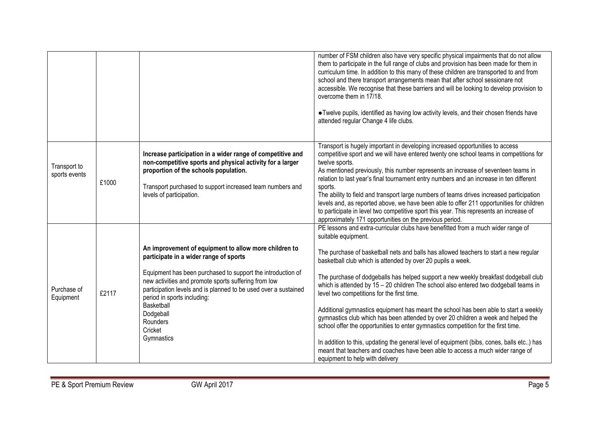|                               |       |                                                                                                                                                                                                                                                                                                                                                                                          | number of FSM children also have very specific physical impairments that do not allow<br>them to participate in the full range of clubs and provision has been made for them in<br>curriculum time. In addition to this many of these children are transported to and from<br>school and there transport arrangements mean that after school sessionare not<br>accessible. We recognise that these barriers and will be looking to develop provision to<br>overcome them in 17/18.<br>• Twelve pupils, identified as having low activity levels, and their chosen friends have<br>attended regular Change 4 life clubs.                                                                                                                                                                                                                                                                                                                                                           |
|-------------------------------|-------|------------------------------------------------------------------------------------------------------------------------------------------------------------------------------------------------------------------------------------------------------------------------------------------------------------------------------------------------------------------------------------------|-----------------------------------------------------------------------------------------------------------------------------------------------------------------------------------------------------------------------------------------------------------------------------------------------------------------------------------------------------------------------------------------------------------------------------------------------------------------------------------------------------------------------------------------------------------------------------------------------------------------------------------------------------------------------------------------------------------------------------------------------------------------------------------------------------------------------------------------------------------------------------------------------------------------------------------------------------------------------------------|
| Transport to<br>sports events | £1000 | Increase participation in a wider range of competitive and<br>non-competitive sports and physical activity for a larger<br>proportion of the schools population.<br>Transport purchased to support increased team numbers and<br>levels of participation.                                                                                                                                | Transport is hugely important in developing increased opportunities to access<br>competitive sport and we will have entered twenty one school teams in competitions for<br>twelve sports.<br>As mentioned previously, this number represents an increase of seventeen teams in<br>relation to last year's final tournament entry numbers and an increase in ten different<br>sports.<br>The ability to field and transport large numbers of teams drives increased participation<br>levels and, as reported above, we have been able to offer 211 opportunities for children<br>to participate in level two competitive sport this year. This represents an increase of<br>approximately 171 opportunities on the previous period.                                                                                                                                                                                                                                                |
| Purchase of<br>Equipment      | £2117 | An improvement of equipment to allow more children to<br>participate in a wider range of sports<br>Equipment has been purchased to support the introduction of<br>new activities and promote sports suffering from low<br>participation levels and is planned to be used over a sustained<br>period in sports including:<br>Basketball<br>Dodgeball<br>Rounders<br>Cricket<br>Gymnastics | PE lessons and extra-curricular clubs have benefitted from a much wider range of<br>suitable equipment.<br>The purchase of basketball nets and balls has allowed teachers to start a new regular<br>basketball club which is attended by over 20 pupils a week.<br>The purchase of dodgeballs has helped support a new weekly breakfast dodgeball club<br>which is attended by 15 - 20 children The school also entered two dodgeball teams in<br>level two competitions for the first time.<br>Additional gymnastics equipment has meant the school has been able to start a weekly<br>gymnastics club which has been attended by over 20 children a week and helped the<br>school offer the opportunities to enter gymnastics competition for the first time.<br>In addition to this, updating the general level of equipment (bibs, cones, balls etc) has<br>meant that teachers and coaches have been able to access a much wider range of<br>equipment to help with delivery |